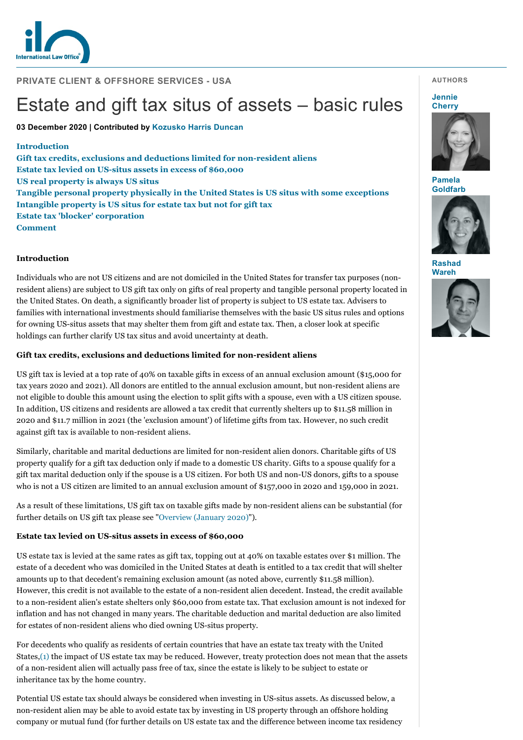

## **PRIVATE CLIENT & OFFSHORE SERVICES - USA**

# Estate and gift tax situs of assets – basic rules

**03 December 2020 | Contributed by [Kozusko Harris Duncan](https://www.internationallawoffice.com/gesr.ashx?l=9ATP5M1)**

#### **[Introduct](#page-2-0)[ion](#page-0-1)**

**[Gift tax credits, exclusions and](#page-0-0) [deductions limited for non-resident aliens](#page-0-2) [Estate tax levied on US-situs assets in excess of \\$60,000](#page-0-0) [US real property is always US situs](#page-1-0) [Tangible personal property physically in the United States is US situs with some exceptions](#page-1-1) [Intangible property is US situs for estate tax but not for gift tax](#page-1-2) Estate tax 'blocker' corporation Comment**

#### <span id="page-0-1"></span>**Introduction**

Individuals who are not US citizens and are not domiciled in the United States for transfer tax purposes (nonresident aliens) are subject to US gift tax only on gifts of real property and tangible personal property located in the United States. On death, a significantly broader list of property is subject to US estate tax. Advisers to families with international investments should familiarise themselves with the basic US situs rules and options for owning US-situs assets that may shelter them from gift and estate tax. Then, a closer look at specific holdings can further clarify US tax situs and avoid uncertainty at death.

#### <span id="page-0-2"></span>**Gift tax credits, exclusions and deductions limited for non-resident aliens**

US gift tax is levied at a top rate of 40% on taxable gifts in excess of an annual exclusion amount (\$15,000 for tax years 2020 and 2021). All donors are entitled to the annual exclusion amount, but non-resident aliens are not eligible to double this amount using the election to split gifts with a spouse, even with a US citizen spouse. In addition, US citizens and residents are allowed a tax credit that currently shelters up to \$11.58 million in 2020 and \$11.7 million in 2021 (the 'exclusion amount') of lifetime gifts from tax. However, no such credit against gift tax is available to non-resident aliens.

Similarly, charitable and marital deductions are limited for non-resident alien donors. Charitable gifts of US property qualify for a gift tax deduction only if made to a domestic US charity. Gifts to a spouse qualify for a gift tax marital deduction only if the spouse is a US citizen. For both US and non-US donors, gifts to a spouse who is not a US citizen are limited to an annual exclusion amount of \$157,000 in 2020 and 159,000 in 2021.

As a result of these limitations, US gift tax on taxable gifts made by non-resident aliens can be substantial (for further details on US gift tax please see "[Overview \(January 2020\)"](https://www.internationallawoffice.com/gesr.ashx?l=9ATP5M4)).

## <span id="page-0-0"></span>**Estate tax levied on US-situs assets in excess of \$60,000**

US estate tax is levied at the same rates as gift tax, topping out at 40% on taxable estates over \$1 million. The estate of a decedent who was domiciled in the United States at death is entitled to a tax credit that will shelter amounts up to that decedent's remaining exclusion amount (as noted above, currently \$11.58 million). However, this credit is not available to the estate of a non-resident alien decedent. Instead, the credit available to a non-resident alien's estate shelters only \$60,000 from estate tax. That exclusion amount is not indexed for inflation and has not changed in many years. The charitable deduction and marital deduction are also limited for estates of non-resident aliens who died owning US-situs property.

For decedents who qualify as residents of certain countries that have an estate tax treaty with the United States,[\(1\)](#page-2-1) the impact of US estate tax may be reduced. However, treaty protection does not mean that the assets of a non-resident alien will actually pass free of tax, since the estate is likely to be subject to estate or inheritance tax by the home country.

Potential US estate tax should always be considered when investing in US-situs assets. As discussed below, a non-resident alien may be able to avoid estate tax by investing in US property through an offshore holding company or mutual fund (for further details on US estate tax and the difference between income tax residency

#### **AUTHORS**

#### **Jennie [Cherry](https://www.internationallawoffice.com/gesr.ashx?l=9ATP5MU)**



**Pamela [Goldfarb](https://www.internationallawoffice.com/gesr.ashx?l=9ATP5MX)**



**[Rashad](https://www.internationallawoffice.com/gesr.ashx?l=9ATP5N0) Wareh**

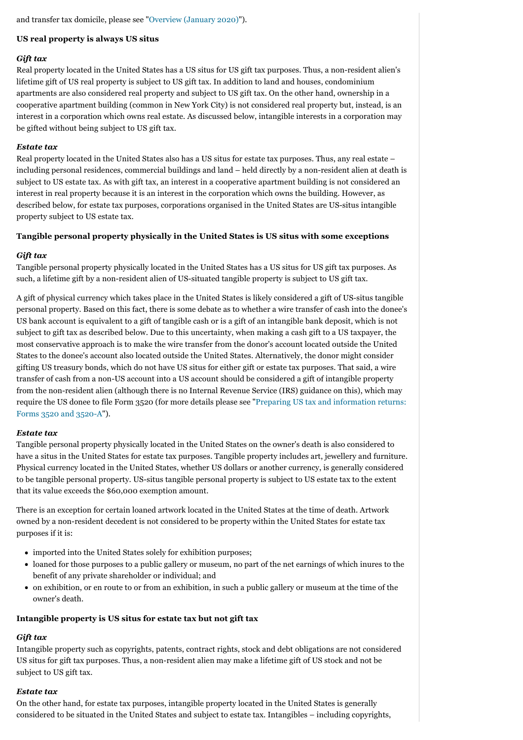and transfer tax domicile, please see ["Overview \(January 2020\)"](https://www.internationallawoffice.com/gesr.ashx?l=9ATP5M4)).

## <span id="page-1-0"></span>**US real property is always US situs**

## *Gift tax*

Real property located in the United States has a US situs for US gift tax purposes. Thus, a non-resident alien's lifetime gift of US real property is subject to US gift tax. In addition to land and houses, condominium apartments are also considered real property and subject to US gift tax. On the other hand, ownership in a cooperative apartment building (common in New York City) is not considered real property but, instead, is an interest in a corporation which owns real estate. As discussed below, intangible interests in a corporation may be gifted without being subject to US gift tax.

## *Estate tax*

Real property located in the United States also has a US situs for estate tax purposes. Thus, any real estate – including personal residences, commercial buildings and land – held directly by a non-resident alien at death is subject to US estate tax. As with gift tax, an interest in a cooperative apartment building is not considered an interest in real property because it is an interest in the corporation which owns the building. However, as described below, for estate tax purposes, corporations organised in the United States are US-situs intangible property subject to US estate tax.

## <span id="page-1-1"></span>**Tangible personal property physically in the United States is US situs with some exceptions**

## *Gift tax*

Tangible personal property physically located in the United States has a US situs for US gift tax purposes. As such, a lifetime gift by a non-resident alien of US-situated tangible property is subject to US gift tax.

A gift of physical currency which takes place in the United States is likely considered a gift of US-situs tangible personal property. Based on this fact, there is some debate as to whether a wire transfer of cash into the donee's US bank account is equivalent to a gift of tangible cash or is a gift of an intangible bank deposit, which is not subject to gift tax as described below. Due to this uncertainty, when making a cash gift to a US taxpayer, the most conservative approach is to make the wire transfer from the donor's account located outside the United States to the donee's account also located outside the United States. Alternatively, the donor might consider gifting US treasury bonds, which do not have US situs for either gift or estate tax purposes. That said, a wire transfer of cash from a non-US account into a US account should be considered a gift of intangible property from the non-resident alien (although there is no Internal Revenue Service (IRS) guidance on this), which may [require the US donee to file Form 3520 \(for more details please see "Preparing US tax and information returns:](https://www.internationallawoffice.com/gesr.ashx?l=9ATP5M7) Forms 3520 and 3520-A").

## *Estate tax*

Tangible personal property physically located in the United States on the owner's death is also considered to have a situs in the United States for estate tax purposes. Tangible property includes art, jewellery and furniture. Physical currency located in the United States, whether US dollars or another currency, is generally considered to be tangible personal property. US-situs tangible personal property is subject to US estate tax to the extent that its value exceeds the \$60,000 exemption amount.

There is an exception for certain loaned artwork located in the United States at the time of death. Artwork owned by a non-resident decedent is not considered to be property within the United States for estate tax purposes if it is:

- imported into the United States solely for exhibition purposes;
- loaned for those purposes to a public gallery or museum, no part of the net earnings of which inures to the benefit of any private shareholder or individual; and
- on exhibition, or en route to or from an exhibition, in such a public gallery or museum at the time of the owner's death.

## <span id="page-1-2"></span>**Intangible property is US situs for estate tax but not gift tax**

# *Gift tax*

Intangible property such as copyrights, patents, contract rights, stock and debt obligations are not considered US situs for gift tax purposes. Thus, a non-resident alien may make a lifetime gift of US stock and not be subject to US gift tax.

# *Estate tax*

On the other hand, for estate tax purposes, intangible property located in the United States is generally considered to be situated in the United States and subject to estate tax. Intangibles – including copyrights,